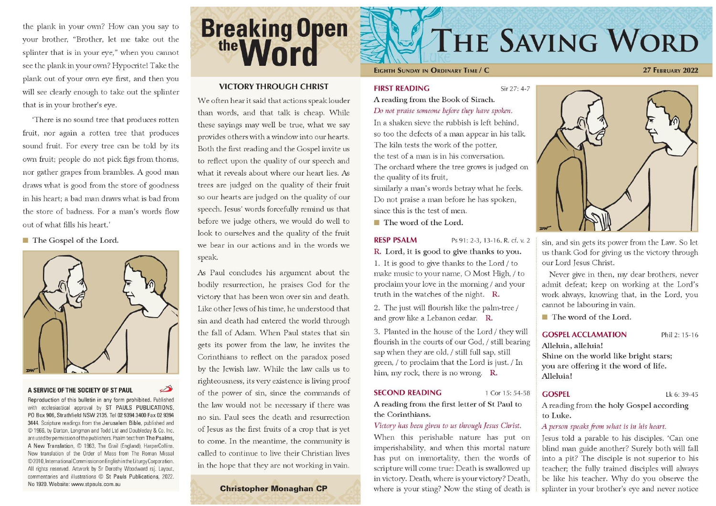the plank in your own? How can you say to your brother, "Brother, let me take out the splinter that is in your eye," when you cannot see the plank in your own? Hypocrite! Take the plank out of your own eye first, and then you will see clearly enough to take out the splinter that is in your brother's eye.

There is no sound tree that produces rotten fruit, nor again a rotten tree that produces sound fruit. For every tree can be told by its own fruit; people do not pick figs from thorns, nor gather grapes from brambles. A good man draws what is good from the store of goodness in his heart: a bad man draws what is bad from the store of badness. For a man's words flow out of what fills his heart'

The Gospel of the Lord.



#### A SERVICE OF THE SOCIETY OF ST PAUL

Reproduction of this bulletin in any form prohibited. Published with ecclesiastical approval by ST PAULS PUBLICATIONS, PO Box 906, Strathfield NSW 2135. Tel 02 9394 3400 Fax 02 9394 3444. Scripture readings from the Jerusalem Bible, published and © 1966, by Darton, Longman and Todd Ltd and Doubleday & Co. Inc. are used by permission of the publishers. Psalm text from The Psalms, A New Translation, C 1963, The Grail (England), HarperCollins. New translation of the Order of Mass from The Roman Missal ©2010, International Commission on English in the Liturgy Corporation. All rights reserved. Artwork by Sr Dorothy Woodward rsj. Layout, commentaries and illustrations © St Pauls Publications, 2022. No 1920. Website: www.stpauls.com.au

# **Breaking Open**

#### **VICTORY THROUGH CHRIST**

We often hear it said that actions speak louder than words, and that talk is cheap. While these sayings may well be true, what we say provides others with a window into our hearts. Both the first reading and the Gospel invite us to reflect upon the quality of our speech and what it reveals about where our heart lies. As trees are judged on the quality of their fruit so our hearts are judged on the quality of our speech. Jesus' words forcefully remind us that before we judge others, we would do well to look to ourselves and the quality of the fruit we bear in our actions and in the words we speak.

As Paul concludes his argument about the bodily resurrection, he praises God for the victory that has been won over sin and death. Like other Jews of his time, he understood that sin and death had entered the world through the fall of Adam. When Paul states that sin gets its power from the law, he invites the Corinthians to reflect on the paradox posed by the Jewish law. While the law calls us to righteousness, its very existence is living proof of the power of sin, since the commands of the law would not be necessary if there was no sin. Paul sees the death and resurrection of Jesus as the first fruits of a crop that is yet to come. In the meantime, the community is called to continue to live their Christian lives in the hope that they are not working in vain.

#### **Christopher Monaghan CP**

## **THE SAVING WORD**

#### EIGHTH SUNDAY IN ORDINARY TIME / C

#### **27 FEBRUARY 2022**

#### **FIRST READING**

Sir 27: 4-7

A reading from the Book of Sirach. Do not praise someone before they have spoken.

In a shaken sieve the rubbish is left behind. so too the defects of a man appear in his talk. The kiln tests the work of the potter, the test of a man is in his conversation. The orchard where the tree grows is judged on the quality of its fruit,

similarly a man's words betray what he feels. Do not praise a man before he has spoken, since this is the test of men.

The word of the Lord.

#### **RESP PSALM** Ps 91: 2-3, 13-16. R. cf. v. 2 R. Lord, it is good to give thanks to you.

1. It is good to give thanks to the Lord / to make music to your name, O Most High, / to proclaim your love in the morning / and your truth in the watches of the night. R.

2. The just will flourish like the palm-tree / and grow like a Lebanon cedar. R.

3. Planted in the house of the Lord / they will flourish in the courts of our God, / still bearing sap when they are old, / still full sap, still green, / to proclaim that the Lord is just. / In him, my rock, there is no wrong. R.

#### **SECOND READING**

A reading from the first letter of St Paul to the Corinthians.

#### Victory has been given to us through Jesus Christ.

When this perishable nature has put on imperishability, and when this mortal nature has put on immortality, then the words of scripture will come true: Death is swallowed up in victory. Death, where is your victory? Death, where is your sting? Now the sting of death is



sin, and sin gets its power from the Law. So let us thank God for giving us the victory through our Lord Jesus Christ.

Never give in then, my dear brothers, never admit defeat; keep on working at the Lord's work always, knowing that, in the Lord, you cannot be labouring in vain.

 $\blacksquare$  The word of the Lord.

#### **GOSPEL ACCLAMATION**

Phil 2: 15-16

Alleluia, alleluia! Shine on the world like bright stars: you are offering it the word of life. Alleluia!

#### **GOSPEL**

1 Cor 15: 54-58

Lk 6: 39-45

A reading from the holy Gospel according to Luke.

#### A person speaks from what is in his heart.

Jesus told a parable to his disciples. 'Can one blind man guide another? Surely both will fall into a pit? The disciple is not superior to his teacher; the fully trained disciples will always be like his teacher. Why do you observe the splinter in your brother's eye and never notice